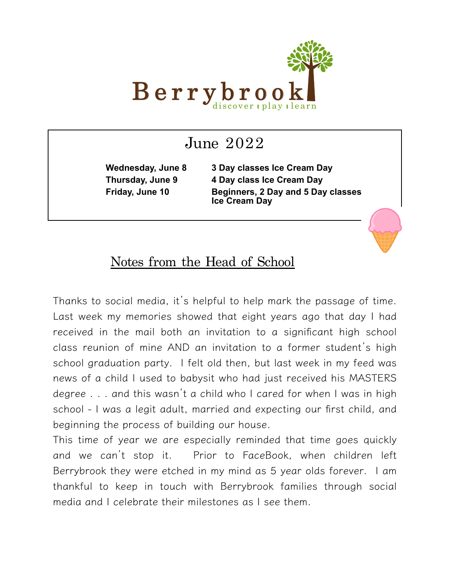

# June  $2022$

**Wednesday, June 8 3 Day classes Ice Cream Day Thursday, June 9 4 Day class Ice Cream Day Friday, June 10 Beginners, 2 Day and 5 Day classes Ice Cream Day**

### Notes from the Head of School

Thanks to social media, it's helpful to help mark the passage of time. Last week my memories showed that eight years ago that day I had received in the mail both an invitation to a significant high school class reunion of mine AND an invitation to a former student's high school graduation party. I felt old then, but last week in my feed was news of a child I used to babysit who had just received his MASTERS degree . . . and this wasn't a child who I cared for when I was in high school - I was a legit adult, married and expecting our first child, and beginning the process of building our house.

This time of year we are especially reminded that time goes quickly and we can't stop it. Prior to FaceBook, when children left Berrybrook they were etched in my mind as 5 year olds forever. I am thankful to keep in touch with Berrybrook families through social media and I celebrate their milestones as I see them.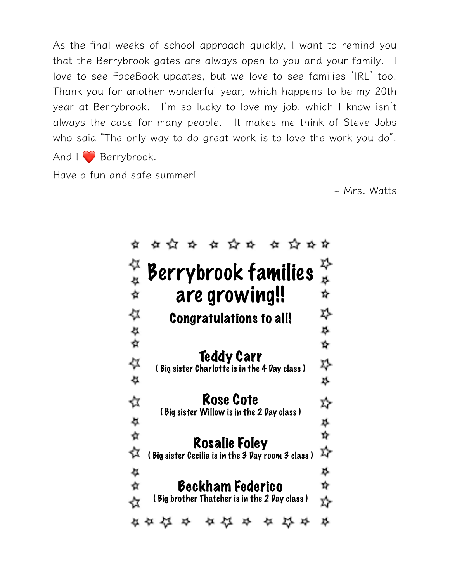As the final weeks of school approach quickly, I want to remind you that the Berrybrook gates are always open to you and your family. I love to see FaceBook updates, but we love to see families ʻIRL' too. Thank you for another wonderful year, which happens to be my 20th year at Berrybrook. I'm so lucky to love my job, which I know isn't always the case for many people. It makes me think of Steve Jobs who said "The only way to do great work is to love the work you do". And  $\log$  Berrybrook.

Have a fun and safe summer!

 $\sim$  Mrs. Watts

|        | 女☆ ☆ ☆ ☆☆ ☆ ☆☆☆                                                            |        |
|--------|----------------------------------------------------------------------------|--------|
|        |                                                                            | 4      |
|        | Berrybrook families                                                        |        |
| なな     | are growing!!                                                              | ☆      |
| ⇍      | <b>Congratulations to all!</b>                                             | ≯      |
|        |                                                                            | 4      |
| な<br>☆ |                                                                            | *      |
| 公公     | <b>Teddy Carr</b><br>(Big sister Charlotte is in the 4 Day class )         | 癷      |
|        |                                                                            | 4      |
| ☆      | <b>Rose Cote</b><br>(Big sister Willow is in the 2 Day class )             | ফ      |
| な ☆    |                                                                            | ≫☆     |
| ☆      | <b>Rosalie Foley</b><br>(Big sister Cecilia is in the 3 Day room 3 class ) | ☆      |
|        |                                                                            |        |
| な<br>☆ | Beckham Federico                                                           | 4<br>4 |
|        | (Big brother Thatcher is in the 2 Day class )                              |        |
|        | タ 公                                                                        |        |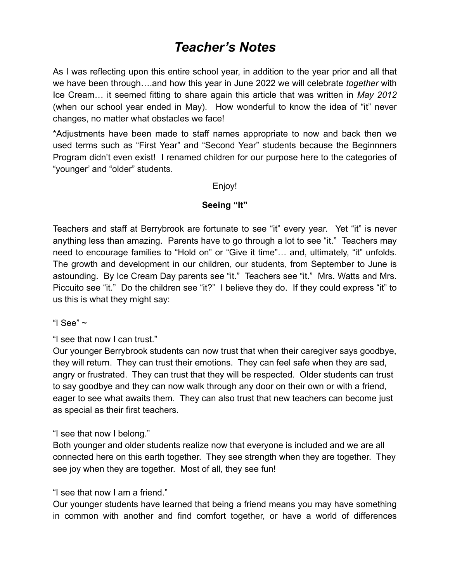## *Teacher's Notes*

As I was reflecting upon this entire school year, in addition to the year prior and all that we have been through….and how this year in June 2022 we will celebrate *together* with Ice Cream… it seemed fitting to share again this article that was written in *May 2012*  (when our school year ended in May). How wonderful to know the idea of "it" never changes, no matter what obstacles we face!

\*Adjustments have been made to staff names appropriate to now and back then we used terms such as "First Year" and "Second Year" students because the Beginnners Program didn't even exist! I renamed children for our purpose here to the categories of "younger' and "older" students.

Enjoy!

#### **Seeing "It"**

Teachers and staff at Berrybrook are fortunate to see "it" every year. Yet "it" is never anything less than amazing. Parents have to go through a lot to see "it." Teachers may need to encourage families to "Hold on" or "Give it time"… and, ultimately, "it" unfolds. The growth and development in our children, our students, from September to June is astounding. By Ice Cream Day parents see "it." Teachers see "it." Mrs. Watts and Mrs. Piccuito see "it." Do the children see "it?" I believe they do. If they could express "it" to us this is what they might say:

"I See"  $\sim$ 

"I see that now I can trust."

Our younger Berrybrook students can now trust that when their caregiver says goodbye, they will return. They can trust their emotions. They can feel safe when they are sad, angry or frustrated. They can trust that they will be respected. Older students can trust to say goodbye and they can now walk through any door on their own or with a friend, eager to see what awaits them. They can also trust that new teachers can become just as special as their first teachers.

"I see that now I belong."

Both younger and older students realize now that everyone is included and we are all connected here on this earth together. They see strength when they are together. They see joy when they are together. Most of all, they see fun!

"I see that now I am a friend."

Our younger students have learned that being a friend means you may have something in common with another and find comfort together, or have a world of differences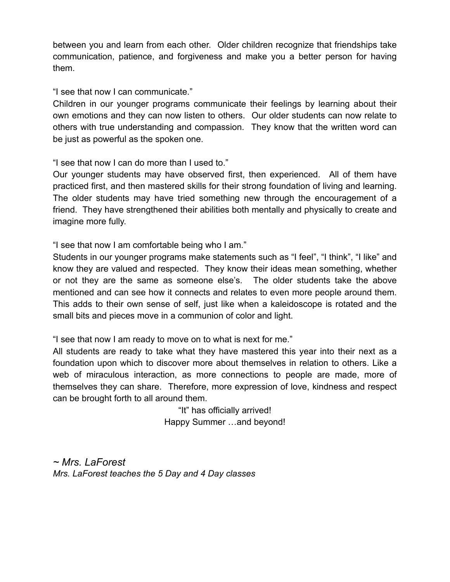between you and learn from each other. Older children recognize that friendships take communication, patience, and forgiveness and make you a better person for having them.

"I see that now I can communicate."

Children in our younger programs communicate their feelings by learning about their own emotions and they can now listen to others. Our older students can now relate to others with true understanding and compassion. They know that the written word can be just as powerful as the spoken one.

"I see that now I can do more than I used to."

Our younger students may have observed first, then experienced. All of them have practiced first, and then mastered skills for their strong foundation of living and learning. The older students may have tried something new through the encouragement of a friend. They have strengthened their abilities both mentally and physically to create and imagine more fully.

"I see that now I am comfortable being who I am."

Students in our younger programs make statements such as "I feel", "I think", "I like" and know they are valued and respected. They know their ideas mean something, whether or not they are the same as someone else's. The older students take the above mentioned and can see how it connects and relates to even more people around them. This adds to their own sense of self, just like when a kaleidoscope is rotated and the small bits and pieces move in a communion of color and light.

"I see that now I am ready to move on to what is next for me."

All students are ready to take what they have mastered this year into their next as a foundation upon which to discover more about themselves in relation to others. Like a web of miraculous interaction, as more connections to people are made, more of themselves they can share. Therefore, more expression of love, kindness and respect can be brought forth to all around them.

> "It" has officially arrived! Happy Summer …and beyond!

*~ Mrs. LaForest Mrs. LaForest teaches the 5 Day and 4 Day classes*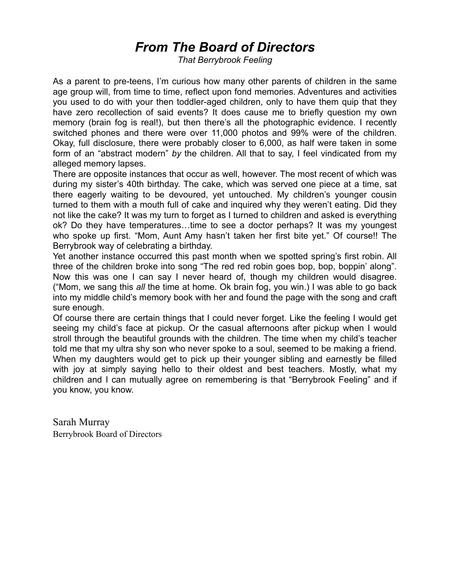## *From The Board of Directors*

*That Berrybrook Feeling*

As a parent to pre-teens, I'm curious how many other parents of children in the same age group will, from time to time, reflect upon fond memories. Adventures and activities you used to do with your then toddler-aged children, only to have them quip that they have zero recollection of said events? It does cause me to briefly question my own memory (brain fog is real!), but then there's all the photographic evidence. I recently switched phones and there were over 11,000 photos and 99% were of the children. Okay, full disclosure, there were probably closer to 6,000, as half were taken in some form of an "abstract modern" *by* the children. All that to say, I feel vindicated from my alleged memory lapses.

There are opposite instances that occur as well, however. The most recent of which was during my sister's 40th birthday. The cake, which was served one piece at a time, sat there eagerly waiting to be devoured, yet untouched. My children's younger cousin turned to them with a mouth full of cake and inquired why they weren't eating. Did they not like the cake? It was my turn to forget as I turned to children and asked is everything ok? Do they have temperatures…time to see a doctor perhaps? It was my youngest who spoke up first. "Mom, Aunt Amy hasn't taken her first bite yet." Of course!! The Berrybrook way of celebrating a birthday.

Yet another instance occurred this past month when we spotted spring's first robin. All three of the children broke into song "The red red robin goes bop, bop, boppin' along". Now this was one I can say I never heard of, though my children would disagree. ("Mom, we sang this *all* the time at home. Ok brain fog, you win.) I was able to go back into my middle child's memory book with her and found the page with the song and craft sure enough.

Of course there are certain things that I could never forget. Like the feeling I would get seeing my child's face at pickup. Or the casual afternoons after pickup when I would stroll through the beautiful grounds with the children. The time when my child's teacher told me that my ultra shy son who never spoke to a soul, seemed to be making a friend. When my daughters would get to pick up their younger sibling and earnestly be filled with joy at simply saying hello to their oldest and best teachers. Mostly, what my children and I can mutually agree on remembering is that "Berrybrook Feeling" and if you know, you know.

Sarah Murray Berrybrook Board of Directors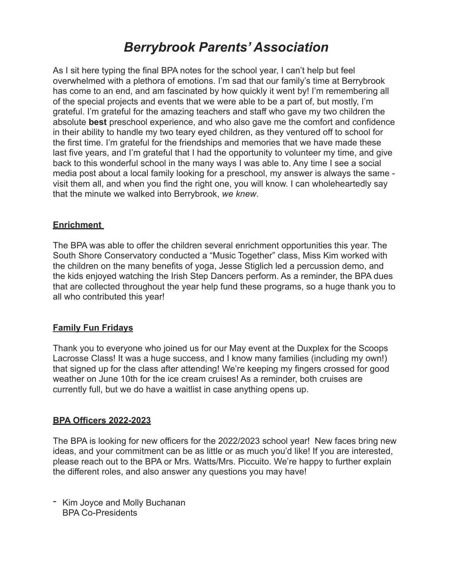## *Berrybrook Parents' Association*

As I sit here typing the final BPA notes for the school year, I can't help but feel overwhelmed with a plethora of emotions. I'm sad that our family's time at Berrybrook has come to an end, and am fascinated by how quickly it went by! I'm remembering all of the special projects and events that we were able to be a part of, but mostly, I'm grateful. I'm grateful for the amazing teachers and staff who gave my two children the absolute **best** preschool experience, and who also gave me the comfort and confidence in their ability to handle my two teary eyed children, as they ventured off to school for the first time. I'm grateful for the friendships and memories that we have made these last five years, and I'm grateful that I had the opportunity to volunteer my time, and give back to this wonderful school in the many ways I was able to. Any time I see a social media post about a local family looking for a preschool, my answer is always the same visit them all, and when you find the right one, you will know. I can wholeheartedly say that the minute we walked into Berrybrook, *we knew*.

#### **Enrichment**

The BPA was able to offer the children several enrichment opportunities this year. The South Shore Conservatory conducted a "Music Together" class, Miss Kim worked with the children on the many benefits of yoga, Jesse Stiglich led a percussion demo, and the kids enjoyed watching the Irish Step Dancers perform. As a reminder, the BPA dues that are collected throughout the year help fund these programs, so a huge thank you to all who contributed this year!

#### **Family Fun Fridays**

Thank you to everyone who joined us for our May event at the Duxplex for the Scoops Lacrosse Class! It was a huge success, and I know many families (including my own!) that signed up for the class after attending! We're keeping my fingers crossed for good weather on June 10th for the ice cream cruises! As a reminder, both cruises are currently full, but we do have a waitlist in case anything opens up.

#### **BPA Officers 2022-2023**

The BPA is looking for new officers for the 2022/2023 school year! New faces bring new ideas, and your commitment can be as little or as much you'd like! If you are interested, please reach out to the BPA or Mrs. Watts/Mrs. Piccuito. We're happy to further explain the different roles, and also answer any questions you may have!

- Kim Joyce and Molly Buchanan BPA Co-Presidents